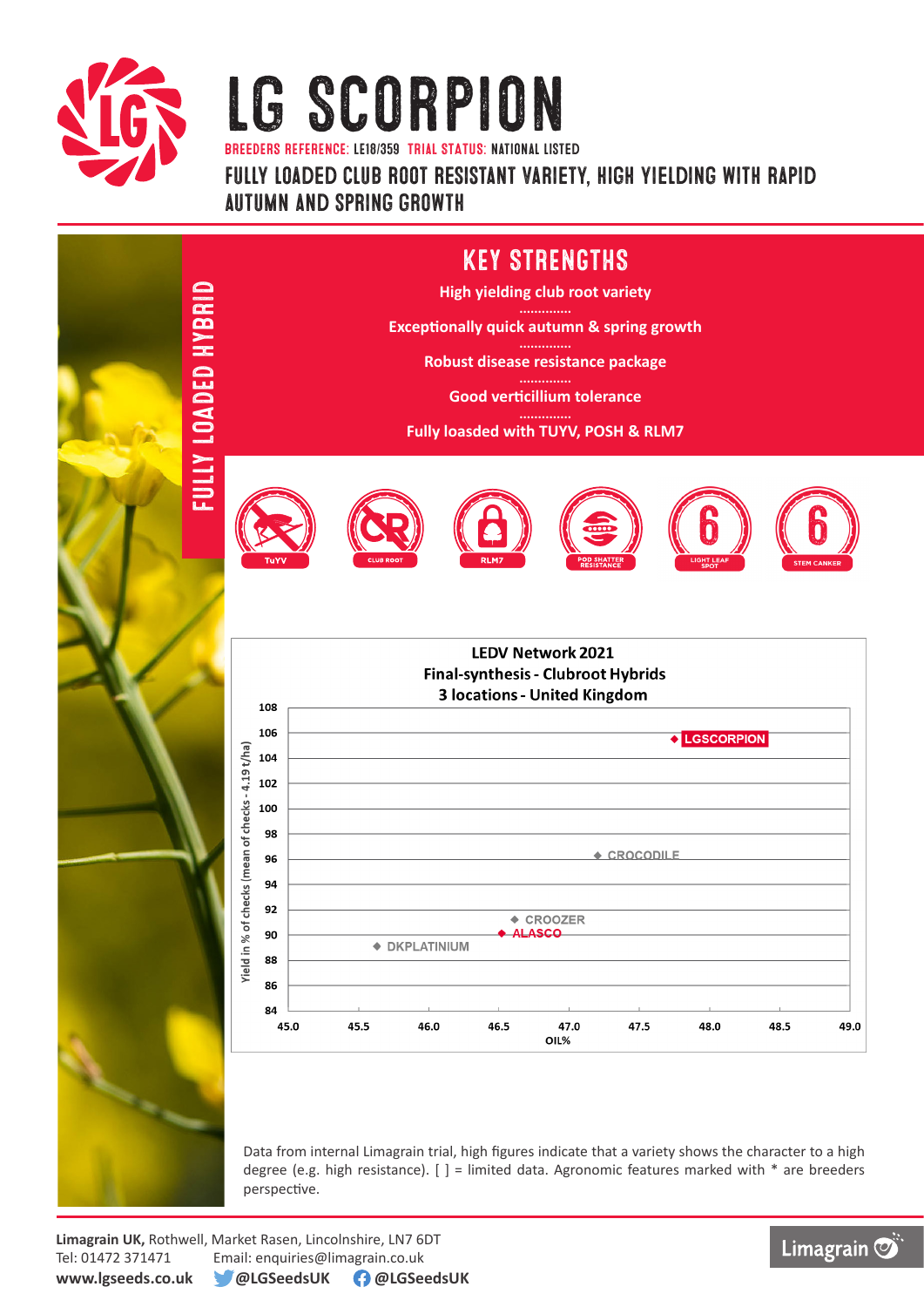

## LG SCORPION

BREEDERS REFERENCE: LE18/359 TRIaL STATUS: national listed

fully loaded club root resistant variety, high yielding with rapid autumn and spring growth

#### KEY STRENGTHS **GIBBAH G3GYOT ATIN:** FULLY LOADED HYBRID **High yielding club root variety Exceptionally quick autumn & spring growth Robust disease resistance package Good verticillium tolerance Fully loasded with TUYV, POSH & RLM7** 6 6 **LEDV Network 2021 Final-synthesis - Clubroot Hybrids 3 locations - United Kingdom** 108 106 LGSCORPION Yield in % of checks (mean of checks - 4.19 t/ha) 104 102 100 98 ← CROCODILE 96 94  $92$  $\triangle$  CROOZER 90 ASCO ◆ DKPLATINIUM 88 86 84 45.0 45.5 46.0 46.5 47.5 48.0 48.5 49.0 47.0 OIL<sub>%</sub>

Data from internal Limagrain trial, high figures indicate that a variety shows the character to a high degree (e.g. high resistance).  $[ ] =$  limited data. Agronomic features marked with  $*$  are breeders perspective.

**Limagrain UK,** Rothwell, Market Rasen, Lincolnshire, LN7 6DT Tel: 01472 371471 Email: enquiries@limagrain.co.uk **www.lgseeds.co.uk @LGSeedsUK @LGSeedsUK**